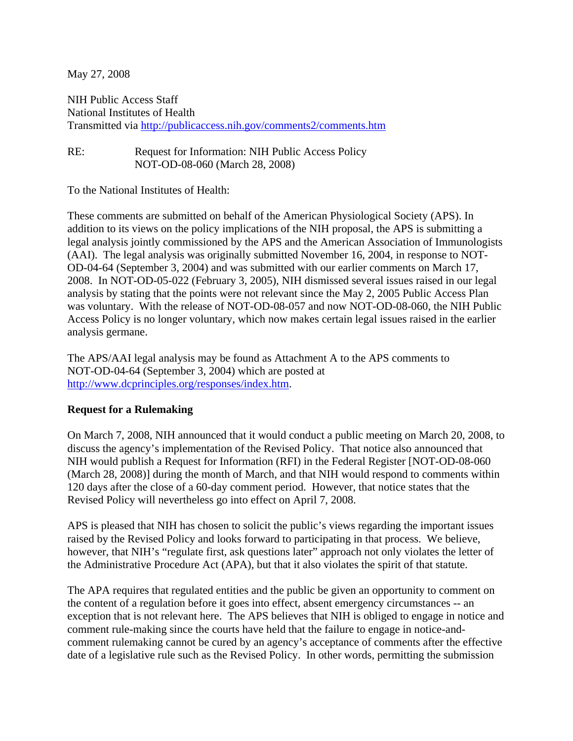May 27, 2008

NIH Public Access Staff National Institutes of Health Transmitted via http://publicaccess.nih.gov/comments2/comments.htm

RE: Request for Information: NIH Public Access Policy NOT-OD-08-060 (March 28, 2008)

To the National Institutes of Health:

These comments are submitted on behalf of the American Physiological Society (APS). In addition to its views on the policy implications of the NIH proposal, the APS is submitting a legal analysis jointly commissioned by the APS and the American Association of Immunologists (AAI). The legal analysis was originally submitted November 16, 2004, in response to NOT-OD-04-64 (September 3, 2004) and was submitted with our earlier comments on March 17, 2008. In NOT-OD-05-022 (February 3, 2005), NIH dismissed several issues raised in our legal analysis by stating that the points were not relevant since the May 2, 2005 Public Access Plan was voluntary. With the release of NOT-OD-08-057 and now NOT-OD-08-060, the NIH Public Access Policy is no longer voluntary, which now makes certain legal issues raised in the earlier analysis germane.

The APS/AAI legal analysis may be found as Attachment A to the APS comments to NOT-OD-04-64 (September 3, 2004) which are posted at http://www.dcprinciples.org/responses/index.htm.

### **Request for a Rulemaking**

On March 7, 2008, NIH announced that it would conduct a public meeting on March 20, 2008, to discuss the agency's implementation of the Revised Policy. That notice also announced that NIH would publish a Request for Information (RFI) in the Federal Register [NOT-OD-08-060 (March 28, 2008)] during the month of March, and that NIH would respond to comments within 120 days after the close of a 60-day comment period. However, that notice states that the Revised Policy will nevertheless go into effect on April 7, 2008.

APS is pleased that NIH has chosen to solicit the public's views regarding the important issues raised by the Revised Policy and looks forward to participating in that process. We believe, however, that NIH's "regulate first, ask questions later" approach not only violates the letter of the Administrative Procedure Act (APA), but that it also violates the spirit of that statute.

The APA requires that regulated entities and the public be given an opportunity to comment on the content of a regulation before it goes into effect, absent emergency circumstances -- an exception that is not relevant here. The APS believes that NIH is obliged to engage in notice and comment rule-making since the courts have held that the failure to engage in notice-andcomment rulemaking cannot be cured by an agency's acceptance of comments after the effective date of a legislative rule such as the Revised Policy. In other words, permitting the submission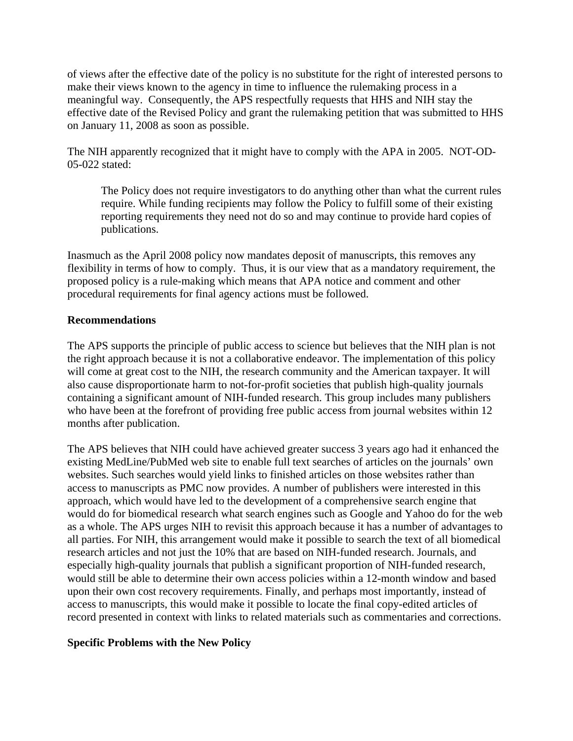of views after the effective date of the policy is no substitute for the right of interested persons to make their views known to the agency in time to influence the rulemaking process in a meaningful way. Consequently, the APS respectfully requests that HHS and NIH stay the effective date of the Revised Policy and grant the rulemaking petition that was submitted to HHS on January 11, 2008 as soon as possible.

The NIH apparently recognized that it might have to comply with the APA in 2005. NOT-OD-05-022 stated:

The Policy does not require investigators to do anything other than what the current rules require. While funding recipients may follow the Policy to fulfill some of their existing reporting requirements they need not do so and may continue to provide hard copies of publications.

Inasmuch as the April 2008 policy now mandates deposit of manuscripts, this removes any flexibility in terms of how to comply. Thus, it is our view that as a mandatory requirement, the proposed policy is a rule-making which means that APA notice and comment and other procedural requirements for final agency actions must be followed.

### **Recommendations**

The APS supports the principle of public access to science but believes that the NIH plan is not the right approach because it is not a collaborative endeavor. The implementation of this policy will come at great cost to the NIH, the research community and the American taxpayer. It will also cause disproportionate harm to not-for-profit societies that publish high-quality journals containing a significant amount of NIH-funded research. This group includes many publishers who have been at the forefront of providing free public access from journal websites within 12 months after publication.

The APS believes that NIH could have achieved greater success 3 years ago had it enhanced the existing MedLine/PubMed web site to enable full text searches of articles on the journals' own websites. Such searches would yield links to finished articles on those websites rather than access to manuscripts as PMC now provides. A number of publishers were interested in this approach, which would have led to the development of a comprehensive search engine that would do for biomedical research what search engines such as Google and Yahoo do for the web as a whole. The APS urges NIH to revisit this approach because it has a number of advantages to all parties. For NIH, this arrangement would make it possible to search the text of all biomedical research articles and not just the 10% that are based on NIH-funded research. Journals, and especially high-quality journals that publish a significant proportion of NIH-funded research, would still be able to determine their own access policies within a 12-month window and based upon their own cost recovery requirements. Finally, and perhaps most importantly, instead of access to manuscripts, this would make it possible to locate the final copy-edited articles of record presented in context with links to related materials such as commentaries and corrections.

## **Specific Problems with the New Policy**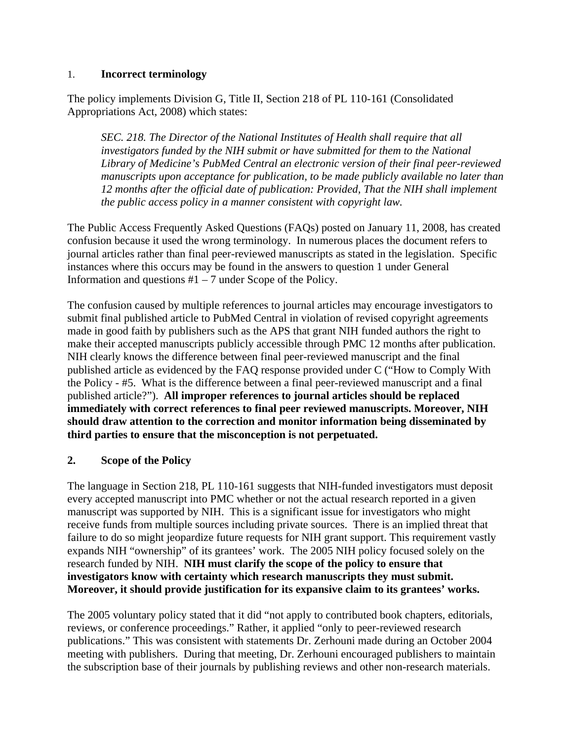### 1. **Incorrect terminology**

The policy implements Division G, Title II, Section 218 of PL 110-161 (Consolidated Appropriations Act, 2008) which states:

*SEC. 218. The Director of the National Institutes of Health shall require that all investigators funded by the NIH submit or have submitted for them to the National Library of Medicine's PubMed Central an electronic version of their final peer-reviewed manuscripts upon acceptance for publication, to be made publicly available no later than 12 months after the official date of publication: Provided, That the NIH shall implement the public access policy in a manner consistent with copyright law.* 

The Public Access Frequently Asked Questions (FAQs) posted on January 11, 2008, has created confusion because it used the wrong terminology. In numerous places the document refers to journal articles rather than final peer-reviewed manuscripts as stated in the legislation. Specific instances where this occurs may be found in the answers to question 1 under General Information and questions  $#1 - 7$  under Scope of the Policy.

The confusion caused by multiple references to journal articles may encourage investigators to submit final published article to PubMed Central in violation of revised copyright agreements made in good faith by publishers such as the APS that grant NIH funded authors the right to make their accepted manuscripts publicly accessible through PMC 12 months after publication. NIH clearly knows the difference between final peer-reviewed manuscript and the final published article as evidenced by the FAQ response provided under C ("How to Comply With the Policy - #5. What is the difference between a final peer-reviewed manuscript and a final published article?"). **All improper references to journal articles should be replaced immediately with correct references to final peer reviewed manuscripts. Moreover, NIH should draw attention to the correction and monitor information being disseminated by third parties to ensure that the misconception is not perpetuated.**

## **2. Scope of the Policy**

The language in Section 218, PL 110-161 suggests that NIH-funded investigators must deposit every accepted manuscript into PMC whether or not the actual research reported in a given manuscript was supported by NIH. This is a significant issue for investigators who might receive funds from multiple sources including private sources. There is an implied threat that failure to do so might jeopardize future requests for NIH grant support. This requirement vastly expands NIH "ownership" of its grantees' work. The 2005 NIH policy focused solely on the research funded by NIH. **NIH must clarify the scope of the policy to ensure that investigators know with certainty which research manuscripts they must submit. Moreover, it should provide justification for its expansive claim to its grantees' works.** 

The 2005 voluntary policy stated that it did "not apply to contributed book chapters, editorials, reviews, or conference proceedings." Rather, it applied "only to peer-reviewed research publications." This was consistent with statements Dr. Zerhouni made during an October 2004 meeting with publishers. During that meeting, Dr. Zerhouni encouraged publishers to maintain the subscription base of their journals by publishing reviews and other non-research materials.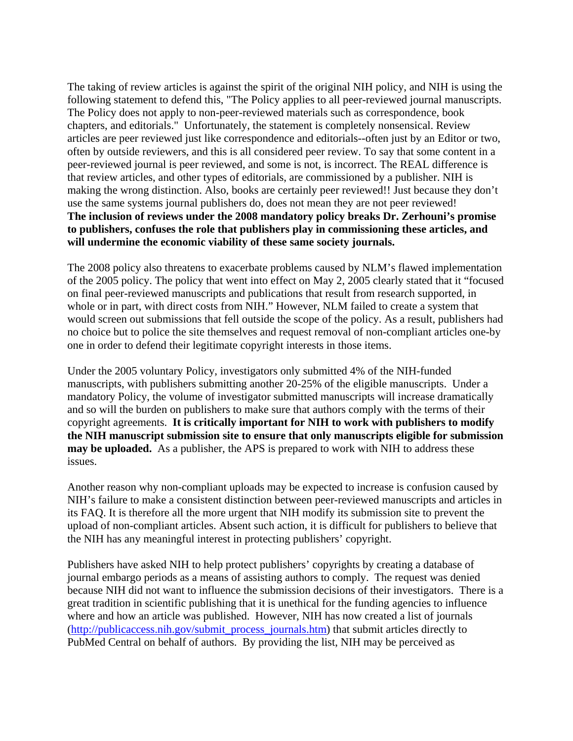The taking of review articles is against the spirit of the original NIH policy, and NIH is using the following statement to defend this, "The Policy applies to all peer-reviewed journal manuscripts. The Policy does not apply to non-peer-reviewed materials such as correspondence, book chapters, and editorials." Unfortunately, the statement is completely nonsensical. Review articles are peer reviewed just like correspondence and editorials--often just by an Editor or two, often by outside reviewers, and this is all considered peer review. To say that some content in a peer-reviewed journal is peer reviewed, and some is not, is incorrect. The REAL difference is that review articles, and other types of editorials, are commissioned by a publisher. NIH is making the wrong distinction. Also, books are certainly peer reviewed!! Just because they don't use the same systems journal publishers do, does not mean they are not peer reviewed! **The inclusion of reviews under the 2008 mandatory policy breaks Dr. Zerhouni's promise to publishers, confuses the role that publishers play in commissioning these articles, and will undermine the economic viability of these same society journals.** 

The 2008 policy also threatens to exacerbate problems caused by NLM's flawed implementation of the 2005 policy. The policy that went into effect on May 2, 2005 clearly stated that it "focused on final peer-reviewed manuscripts and publications that result from research supported, in whole or in part, with direct costs from NIH." However, NLM failed to create a system that would screen out submissions that fell outside the scope of the policy. As a result, publishers had no choice but to police the site themselves and request removal of non-compliant articles one-by one in order to defend their legitimate copyright interests in those items.

Under the 2005 voluntary Policy, investigators only submitted 4% of the NIH-funded manuscripts, with publishers submitting another 20-25% of the eligible manuscripts. Under a mandatory Policy, the volume of investigator submitted manuscripts will increase dramatically and so will the burden on publishers to make sure that authors comply with the terms of their copyright agreements. **It is critically important for NIH to work with publishers to modify the NIH manuscript submission site to ensure that only manuscripts eligible for submission may be uploaded.** As a publisher, the APS is prepared to work with NIH to address these issues.

Another reason why non-compliant uploads may be expected to increase is confusion caused by NIH's failure to make a consistent distinction between peer-reviewed manuscripts and articles in its FAQ. It is therefore all the more urgent that NIH modify its submission site to prevent the upload of non-compliant articles. Absent such action, it is difficult for publishers to believe that the NIH has any meaningful interest in protecting publishers' copyright.

Publishers have asked NIH to help protect publishers' copyrights by creating a database of journal embargo periods as a means of assisting authors to comply. The request was denied because NIH did not want to influence the submission decisions of their investigators. There is a great tradition in scientific publishing that it is unethical for the funding agencies to influence where and how an article was published. However, NIH has now created a list of journals (http://publicaccess.nih.gov/submit\_process\_journals.htm) that submit articles directly to PubMed Central on behalf of authors. By providing the list, NIH may be perceived as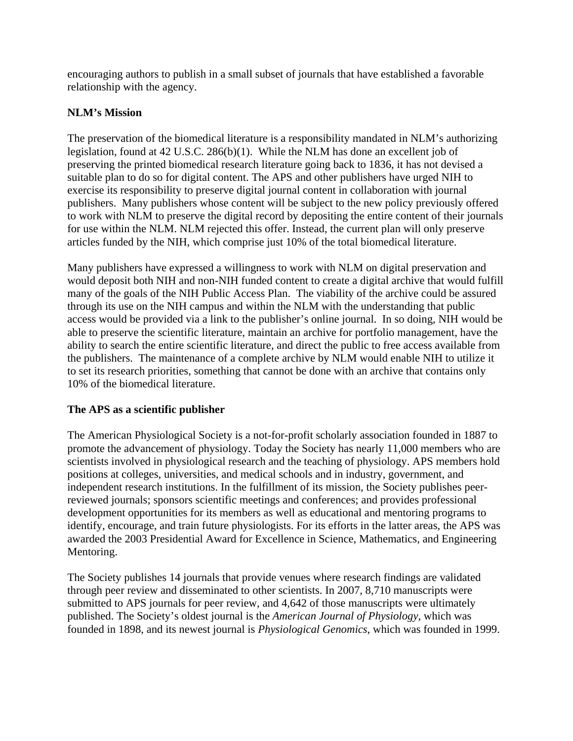encouraging authors to publish in a small subset of journals that have established a favorable relationship with the agency.

# **NLM's Mission**

The preservation of the biomedical literature is a responsibility mandated in NLM's authorizing legislation, found at 42 U.S.C. 286(b)(1). While the NLM has done an excellent job of preserving the printed biomedical research literature going back to 1836, it has not devised a suitable plan to do so for digital content. The APS and other publishers have urged NIH to exercise its responsibility to preserve digital journal content in collaboration with journal publishers. Many publishers whose content will be subject to the new policy previously offered to work with NLM to preserve the digital record by depositing the entire content of their journals for use within the NLM. NLM rejected this offer. Instead, the current plan will only preserve articles funded by the NIH, which comprise just 10% of the total biomedical literature.

Many publishers have expressed a willingness to work with NLM on digital preservation and would deposit both NIH and non-NIH funded content to create a digital archive that would fulfill many of the goals of the NIH Public Access Plan. The viability of the archive could be assured through its use on the NIH campus and within the NLM with the understanding that public access would be provided via a link to the publisher's online journal. In so doing, NIH would be able to preserve the scientific literature, maintain an archive for portfolio management, have the ability to search the entire scientific literature, and direct the public to free access available from the publishers. The maintenance of a complete archive by NLM would enable NIH to utilize it to set its research priorities, something that cannot be done with an archive that contains only 10% of the biomedical literature.

## **The APS as a scientific publisher**

The American Physiological Society is a not-for-profit scholarly association founded in 1887 to promote the advancement of physiology. Today the Society has nearly 11,000 members who are scientists involved in physiological research and the teaching of physiology. APS members hold positions at colleges, universities, and medical schools and in industry, government, and independent research institutions. In the fulfillment of its mission, the Society publishes peerreviewed journals; sponsors scientific meetings and conferences; and provides professional development opportunities for its members as well as educational and mentoring programs to identify, encourage, and train future physiologists. For its efforts in the latter areas, the APS was awarded the 2003 Presidential Award for Excellence in Science, Mathematics, and Engineering Mentoring.

The Society publishes 14 journals that provide venues where research findings are validated through peer review and disseminated to other scientists. In 2007, 8,710 manuscripts were submitted to APS journals for peer review, and 4,642 of those manuscripts were ultimately published. The Society's oldest journal is the *American Journal of Physiology,* which was founded in 1898, and its newest journal is *Physiological Genomics*, which was founded in 1999.